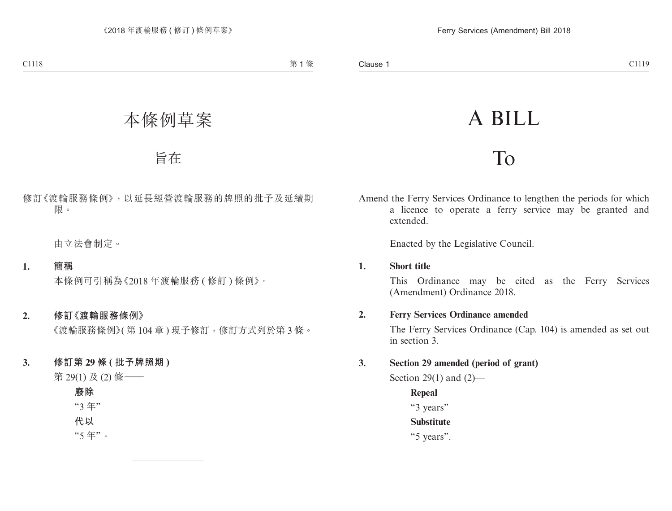# A BILL

## To

Amend the Ferry Services Ordinance to lengthen the periods for which a licence to operate a ferry service may be granted and extended.

Enacted by the Legislative Council.

#### **1. Short title**

This Ordinance may be cited as the Ferry Services (Amendment) Ordinance 2018.

#### **2. Ferry Services Ordinance amended**

The Ferry Services Ordinance (Cap. 104) is amended as set out in section 3.

### **3. Section 29 amended (period of grant)**

Section 29(1) and (2)—

**Repeal** "3 years" **Substitute** "5 years".